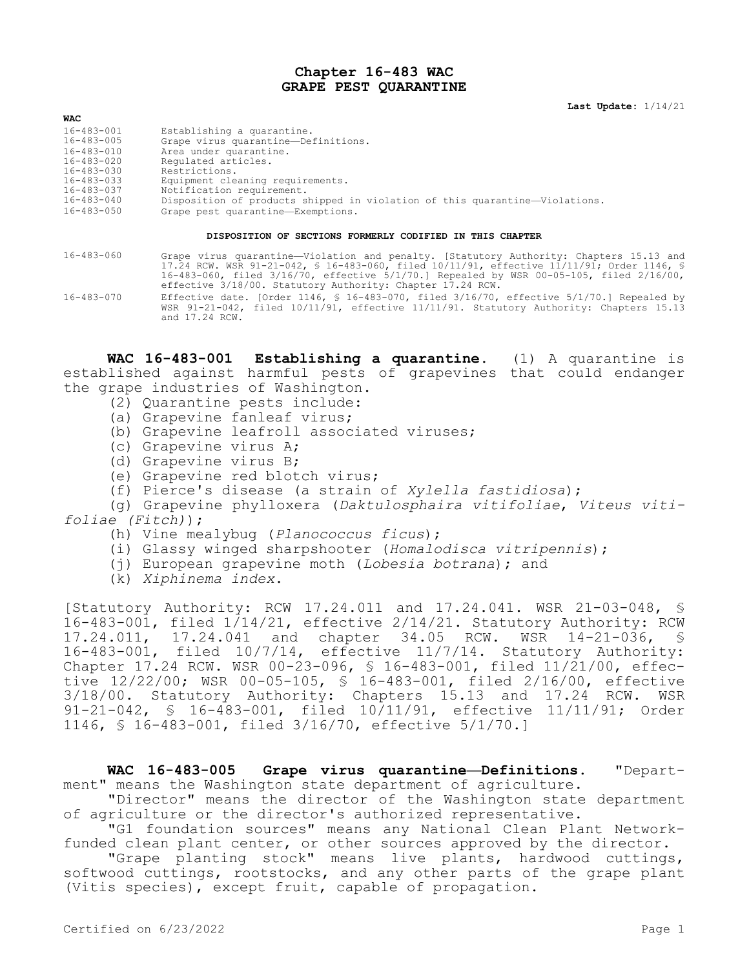## **Chapter 16-483 WAC GRAPE PEST QUARANTINE**

## **WAC**

- 16-483-001 Establishing a quarantine.<br>16-483-005 Grape virus quarantine-Det
- 16-483-005 Grape virus quarantine—Definitions.
- 16-483-010 Area under quarantine.<br>16-483-020 Requlated articles.
- 16-483-020 Regulated articles.<br>16-483-030 Restrictions.
- 16-483-030 Restrictions.
- 16-483-033 Equipment cleaning requirements.
- 16-483-037 Notification requirement.<br>16-483-040 Disposition of products s
- 16-483-040 Disposition of products shipped in violation of this quarantine—Violations. Grape pest quarantine—Exemptions.

## **DISPOSITION OF SECTIONS FORMERLY CODIFIED IN THIS CHAPTER**

- 16-483-060 Grape virus quarantine—Violation and penalty. [Statutory Authority: Chapters 15.13 and 17.24 RCW. WSR 91-21-042, § 16-483-060, filed 10/11/91, effective 11/11/91; Order 1146, § 16-483-060, filed 3/16/70, effective 5/1/70.] Repealed by WSR 00-05-105, filed 2/16/00, effective 3/18/00. Statutory Authority: Chapter 17.24 RCW.
- 16-483-070 Effective date. [Order 1146, § 16-483-070, filed 3/16/70, effective 5/1/70.] Repealed by WSR 91-21-042, filed 10/11/91, effective 11/11/91. Statutory Authority: Chapters 15.13 and 17.24 RCW.

**WAC 16-483-001 Establishing a quarantine.** (1) A quarantine is established against harmful pests of grapevines that could endanger the grape industries of Washington.

- (2) Quarantine pests include:
- (a) Grapevine fanleaf virus;
- (b) Grapevine leafroll associated viruses;
- (c) Grapevine virus A;
- (d) Grapevine virus B;
- (e) Grapevine red blotch virus;
- (f) Pierce's disease (a strain of *Xylella fastidiosa*);

(g) Grapevine phylloxera (*Daktulosphaira vitifoliae*, *Viteus vitifoliae (Fitch)*);

- (h) Vine mealybug (*Planococcus ficus*);
- (i) Glassy winged sharpshooter (*Homalodisca vitripennis*);
- (j) European grapevine moth (*Lobesia botrana*); and
- (k) *Xiphinema index*.

[Statutory Authority: RCW 17.24.011 and 17.24.041. WSR 21-03-048, § 16-483-001, filed 1/14/21, effective 2/14/21. Statutory Authority: RCW 17.24.011, 17.24.041 and chapter 34.05 RCW. WSR 14-21-036, § 16-483-001, filed 10/7/14, effective 11/7/14. Statutory Authority: Chapter 17.24 RCW. WSR 00-23-096, § 16-483-001, filed 11/21/00, effective 12/22/00; WSR 00-05-105, § 16-483-001, filed 2/16/00, effective 3/18/00. Statutory Authority: Chapters 15.13 and 17.24 RCW. WSR 91-21-042, § 16-483-001, filed 10/11/91, effective 11/11/91; Order 1146, § 16-483-001, filed 3/16/70, effective 5/1/70.]

**WAC 16-483-005 Grape virus quarantine—Definitions.** "Department" means the Washington state department of agriculture.

"Director" means the director of the Washington state department of agriculture or the director's authorized representative.

"G1 foundation sources" means any National Clean Plant Networkfunded clean plant center, or other sources approved by the director.

"Grape planting stock" means live plants, hardwood cuttings, softwood cuttings, rootstocks, and any other parts of the grape plant (Vitis species), except fruit, capable of propagation.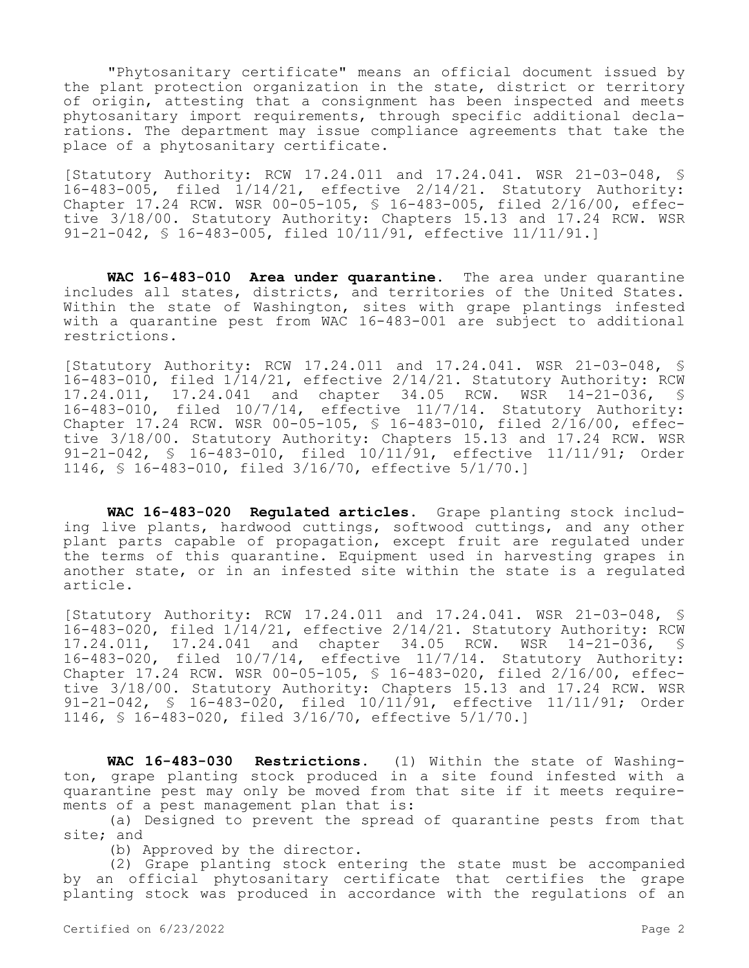"Phytosanitary certificate" means an official document issued by the plant protection organization in the state, district or territory of origin, attesting that a consignment has been inspected and meets phytosanitary import requirements, through specific additional declarations. The department may issue compliance agreements that take the place of a phytosanitary certificate.

[Statutory Authority: RCW 17.24.011 and 17.24.041. WSR 21-03-048, § 16-483-005, filed 1/14/21, effective 2/14/21. Statutory Authority: Chapter 17.24 RCW. WSR 00-05-105, § 16-483-005, filed 2/16/00, effective 3/18/00. Statutory Authority: Chapters 15.13 and 17.24 RCW. WSR 91-21-042, § 16-483-005, filed 10/11/91, effective 11/11/91.]

**WAC 16-483-010 Area under quarantine.** The area under quarantine includes all states, districts, and territories of the United States. Within the state of Washington, sites with grape plantings infested with a quarantine pest from WAC 16-483-001 are subject to additional restrictions.

[Statutory Authority: RCW 17.24.011 and 17.24.041. WSR 21-03-048, § 16-483-010, filed 1/14/21, effective 2/14/21. Statutory Authority: RCW 17.24.011, 17.24.041 and chapter 34.05 RCW. WSR 14-21-036, § 16-483-010, filed 10/7/14, effective 11/7/14. Statutory Authority: Chapter 17.24 RCW. WSR 00-05-105, § 16-483-010, filed 2/16/00, effective 3/18/00. Statutory Authority: Chapters 15.13 and 17.24 RCW. WSR 91-21-042, § 16-483-010, filed 10/11/91, effective 11/11/91; Order 1146, § 16-483-010, filed 3/16/70, effective 5/1/70.]

**WAC 16-483-020 Regulated articles.** Grape planting stock including live plants, hardwood cuttings, softwood cuttings, and any other plant parts capable of propagation, except fruit are regulated under the terms of this quarantine. Equipment used in harvesting grapes in another state, or in an infested site within the state is a regulated article.

[Statutory Authority: RCW 17.24.011 and 17.24.041. WSR 21-03-048, § 16-483-020, filed 1/14/21, effective 2/14/21. Statutory Authority: RCW 17.24.011, 17.24.041 and chapter 34.05 RCW. WSR 14-21-036, § 16-483-020, filed 10/7/14, effective 11/7/14. Statutory Authority: Chapter 17.24 RCW. WSR 00-05-105, § 16-483-020, filed 2/16/00, effective 3/18/00. Statutory Authority: Chapters 15.13 and 17.24 RCW. WSR 91-21-042, § 16-483-020, filed 10/11/91, effective 11/11/91; Order 1146, § 16-483-020, filed 3/16/70, effective 5/1/70.]

**WAC 16-483-030 Restrictions.** (1) Within the state of Washington, grape planting stock produced in a site found infested with a quarantine pest may only be moved from that site if it meets requirements of a pest management plan that is:

(a) Designed to prevent the spread of quarantine pests from that site; and

(b) Approved by the director.

(2) Grape planting stock entering the state must be accompanied by an official phytosanitary certificate that certifies the grape planting stock was produced in accordance with the regulations of an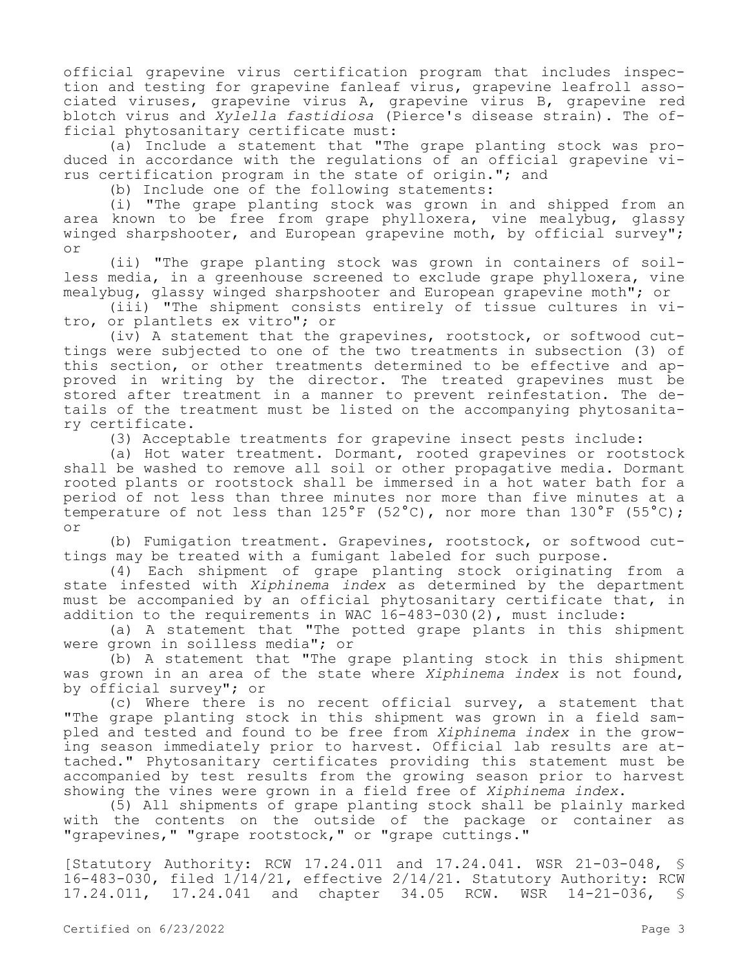official grapevine virus certification program that includes inspection and testing for grapevine fanleaf virus, grapevine leafroll associated viruses, grapevine virus A, grapevine virus B, grapevine red blotch virus and *Xylella fastidiosa* (Pierce's disease strain). The official phytosanitary certificate must:

(a) Include a statement that "The grape planting stock was produced in accordance with the regulations of an official grapevine virus certification program in the state of origin."; and

(b) Include one of the following statements:

(i) "The grape planting stock was grown in and shipped from an area known to be free from grape phylloxera, vine mealybug, glassy winged sharpshooter, and European grapevine moth, by official survey"; or

(ii) "The grape planting stock was grown in containers of soilless media, in a greenhouse screened to exclude grape phylloxera, vine mealybug, glassy winged sharpshooter and European grapevine moth"; or

(iii) "The shipment consists entirely of tissue cultures in vitro, or plantlets ex vitro"; or

(iv) A statement that the grapevines, rootstock, or softwood cuttings were subjected to one of the two treatments in subsection (3) of this section, or other treatments determined to be effective and approved in writing by the director. The treated grapevines must be stored after treatment in a manner to prevent reinfestation. The details of the treatment must be listed on the accompanying phytosanitary certificate.

(3) Acceptable treatments for grapevine insect pests include:

(a) Hot water treatment. Dormant, rooted grapevines or rootstock shall be washed to remove all soil or other propagative media. Dormant rooted plants or rootstock shall be immersed in a hot water bath for a period of not less than three minutes nor more than five minutes at a temperature of not less than  $125^{\circ}F$  (52°C), nor more than  $130^{\circ}F$  (55°C); or

(b) Fumigation treatment. Grapevines, rootstock, or softwood cuttings may be treated with a fumigant labeled for such purpose.

(4) Each shipment of grape planting stock originating from a state infested with *Xiphinema index* as determined by the department must be accompanied by an official phytosanitary certificate that, in addition to the requirements in WAC 16-483-030(2), must include:

(a) A statement that "The potted grape plants in this shipment were grown in soilless media"; or

(b) A statement that "The grape planting stock in this shipment was grown in an area of the state where *Xiphinema index* is not found, by official survey"; or

(c) Where there is no recent official survey, a statement that "The grape planting stock in this shipment was grown in a field sampled and tested and found to be free from *Xiphinema index* in the growing season immediately prior to harvest. Official lab results are attached." Phytosanitary certificates providing this statement must be accompanied by test results from the growing season prior to harvest showing the vines were grown in a field free of *Xiphinema index*.

(5) All shipments of grape planting stock shall be plainly marked with the contents on the outside of the package or container as "grapevines," "grape rootstock," or "grape cuttings."

[Statutory Authority: RCW 17.24.011 and 17.24.041. WSR 21-03-048, § 16-483-030, filed 1/14/21, effective 2/14/21. Statutory Authority: RCW 17.24.011, 17.24.041 and chapter 34.05 RCW. WSR 14-21-036, §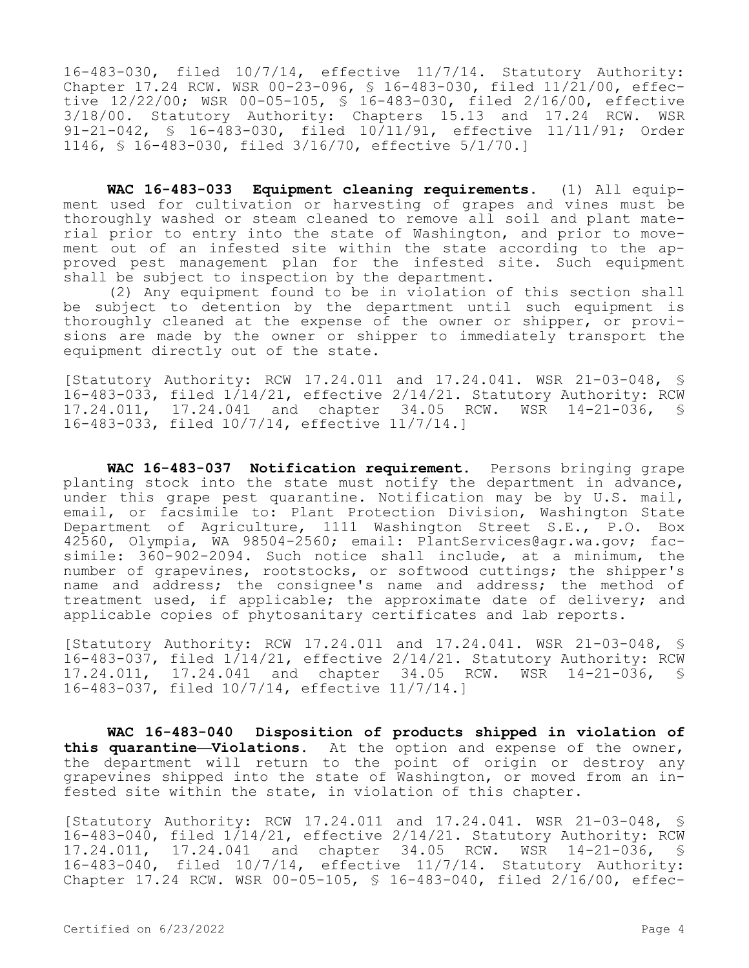16-483-030, filed 10/7/14, effective 11/7/14. Statutory Authority: Chapter 17.24 RCW. WSR 00-23-096, § 16-483-030, filed 11/21/00, effective 12/22/00; WSR 00-05-105, § 16-483-030, filed 2/16/00, effective 3/18/00. Statutory Authority: Chapters 15.13 and 17.24 RCW. WSR 91-21-042, § 16-483-030, filed 10/11/91, effective 11/11/91; Order 1146, § 16-483-030, filed 3/16/70, effective 5/1/70.]

**WAC 16-483-033 Equipment cleaning requirements.** (1) All equipment used for cultivation or harvesting of grapes and vines must be thoroughly washed or steam cleaned to remove all soil and plant material prior to entry into the state of Washington, and prior to movement out of an infested site within the state according to the approved pest management plan for the infested site. Such equipment shall be subject to inspection by the department.

(2) Any equipment found to be in violation of this section shall be subject to detention by the department until such equipment is thoroughly cleaned at the expense of the owner or shipper, or provisions are made by the owner or shipper to immediately transport the equipment directly out of the state.

[Statutory Authority: RCW 17.24.011 and 17.24.041. WSR 21-03-048, § 16-483-033, filed 1/14/21, effective 2/14/21. Statutory Authority: RCW 17.24.011, 17.24.041 and chapter 34.05 RCW. WSR 14-21-036, § 16-483-033, filed 10/7/14, effective 11/7/14.]

**WAC 16-483-037 Notification requirement.** Persons bringing grape planting stock into the state must notify the department in advance, under this grape pest quarantine. Notification may be by U.S. mail, email, or facsimile to: Plant Protection Division, Washington State Department of Agriculture, 1111 Washington Street S.E., P.O. Box 42560, Olympia, WA 98504-2560; email: PlantServices@agr.wa.gov; facsimile: 360-902-2094. Such notice shall include, at a minimum, the number of grapevines, rootstocks, or softwood cuttings; the shipper's name and address; the consignee's name and address; the method of treatment used, if applicable; the approximate date of delivery; and applicable copies of phytosanitary certificates and lab reports.

[Statutory Authority: RCW 17.24.011 and 17.24.041. WSR 21-03-048, § 16-483-037, filed 1/14/21, effective 2/14/21. Statutory Authority: RCW 17.24.011, 17.24.041 and chapter 34.05 RCW. WSR 14-21-036, § 16-483-037, filed 10/7/14, effective 11/7/14.]

**WAC 16-483-040 Disposition of products shipped in violation of this quarantine—Violations.** At the option and expense of the owner, the department will return to the point of origin or destroy any grapevines shipped into the state of Washington, or moved from an infested site within the state, in violation of this chapter.

[Statutory Authority: RCW 17.24.011 and 17.24.041. WSR 21-03-048, § 16-483-040, filed 1/14/21, effective 2/14/21. Statutory Authority: RCW 17.24.011, 17.24.041 and chapter 34.05 RCW. WSR 14-21-036, § 16-483-040, filed 10/7/14, effective 11/7/14. Statutory Authority: Chapter 17.24 RCW. WSR 00-05-105, § 16-483-040, filed 2/16/00, effec